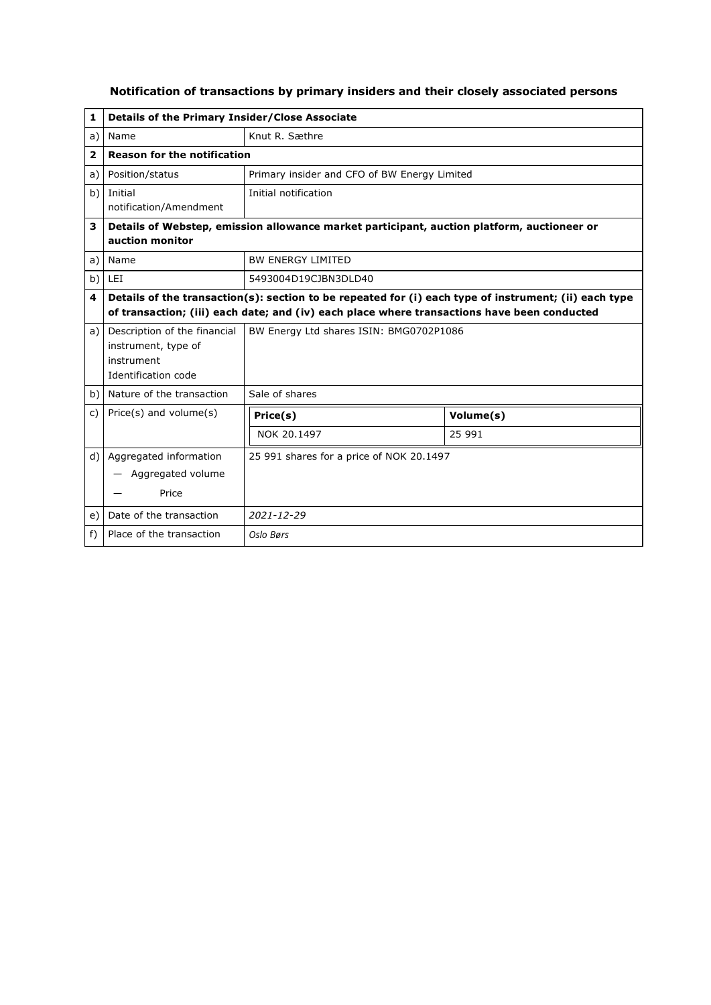| 1              | Details of the Primary Insider/Close Associate                                           |                                                                                                                                                                                                      |           |  |  |
|----------------|------------------------------------------------------------------------------------------|------------------------------------------------------------------------------------------------------------------------------------------------------------------------------------------------------|-----------|--|--|
| a)             | Name                                                                                     | Knut R. Sæthre                                                                                                                                                                                       |           |  |  |
| $\overline{2}$ | <b>Reason for the notification</b>                                                       |                                                                                                                                                                                                      |           |  |  |
| a)             | Position/status                                                                          | Primary insider and CFO of BW Energy Limited                                                                                                                                                         |           |  |  |
| b)             | Initial<br>notification/Amendment                                                        | Initial notification                                                                                                                                                                                 |           |  |  |
| 3              | auction monitor                                                                          | Details of Webstep, emission allowance market participant, auction platform, auctioneer or                                                                                                           |           |  |  |
| a)             | Name                                                                                     | <b>BW ENFRGY LIMITED</b>                                                                                                                                                                             |           |  |  |
| b)             | LEI                                                                                      | 5493004D19CJBN3DLD40                                                                                                                                                                                 |           |  |  |
| 4              |                                                                                          | Details of the transaction(s): section to be repeated for (i) each type of instrument; (ii) each type<br>of transaction; (iii) each date; and (iv) each place where transactions have been conducted |           |  |  |
| a)             | Description of the financial<br>instrument, type of<br>instrument<br>Identification code | BW Energy Ltd shares ISIN: BMG0702P1086                                                                                                                                                              |           |  |  |
| b)             | Nature of the transaction                                                                | Sale of shares                                                                                                                                                                                       |           |  |  |
| c)             | $Price(s)$ and volume $(s)$                                                              | Price(s)                                                                                                                                                                                             | Volume(s) |  |  |
|                |                                                                                          | NOK 20.1497                                                                                                                                                                                          | 25 991    |  |  |
| d)             | Aggregated information<br>Aggregated volume<br>Price                                     | 25 991 shares for a price of NOK 20.1497                                                                                                                                                             |           |  |  |
| e)             | Date of the transaction                                                                  | $2021 - 12 - 29$                                                                                                                                                                                     |           |  |  |
| $f$ )          | Place of the transaction                                                                 | Oslo Børs                                                                                                                                                                                            |           |  |  |

## **Notification of transactions by primary insiders and their closely associated persons**